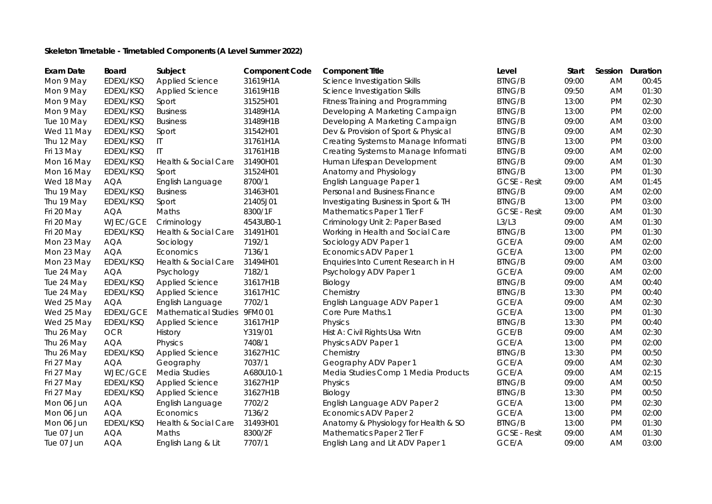## **Skeleton Timetable - Timetabled Components (A Level Summer 2022)**

| <b>Exam Date</b> | <b>Board</b>     | Subject                      | <b>Component Code</b> | <b>Component Title</b>               | Level               | Start | Session   | Duration |
|------------------|------------------|------------------------------|-----------------------|--------------------------------------|---------------------|-------|-----------|----------|
| Mon 9 May        | EDEXL/KSQ        | <b>Applied Science</b>       | 31619H1A              | Science Investigation Skills         | <b>BTNG/B</b>       | 09:00 | <b>AM</b> | 00:45    |
| Mon 9 May        | EDEXL/KSQ        | Applied Science              | 31619H1B              | Science Investigation Skills         | <b>BTNG/B</b>       | 09:50 | AM        | 01:30    |
| Mon 9 May        | EDEXL/KSQ        | Sport                        | 31525H01              | Fitness Training and Programming     | <b>BTNG/B</b>       | 13:00 | <b>PM</b> | 02:30    |
| Mon 9 May        | EDEXL/KSQ        | <b>Business</b>              | 31489H1A              | Developing A Marketing Campaign      | <b>BTNG/B</b>       | 13:00 | <b>PM</b> | 02:00    |
| Tue 10 May       | EDEXL/KSQ        | <b>Business</b>              | 31489H1B              | Developing A Marketing Campaign      | <b>BTNG/B</b>       | 09:00 | AM        | 03:00    |
| Wed 11 May       | EDEXL/KSQ        | Sport                        | 31542H01              | Dev & Provision of Sport & Physical  | <b>BTNG/B</b>       | 09:00 | <b>AM</b> | 02:30    |
| Thu 12 May       | EDEXL/KSQ        | $\mathsf{I}\mathsf{T}$       | 31761H1A              | Creating Systems to Manage Informati | <b>BTNG/B</b>       | 13:00 | <b>PM</b> | 03:00    |
| Fri 13 May       | EDEXL/KSQ        | $\mathsf{I}$                 | 31761H1B              | Creating Systems to Manage Informati | <b>BTNG/B</b>       | 09:00 | AM        | 02:00    |
| Mon 16 May       | EDEXL/KSQ        | Health & Social Care         | 31490H01              | Human Lifespan Development           | <b>BTNG/B</b>       | 09:00 | <b>AM</b> | 01:30    |
| Mon 16 May       | EDEXL/KSQ        | Sport                        | 31524H01              | Anatomy and Physiology               | <b>BTNG/B</b>       | 13:00 | <b>PM</b> | 01:30    |
| Wed 18 May       | <b>AQA</b>       | English Language             | 8700/1                | English Language Paper 1             | <b>GCSE - Resit</b> | 09:00 | <b>AM</b> | 01:45    |
| Thu 19 May       | EDEXL/KSQ        | <b>Business</b>              | 31463H01              | Personal and Business Finance        | <b>BTNG/B</b>       | 09:00 | AM        | 02:00    |
| Thu 19 May       | EDEXL/KSQ        | Sport                        | 21405J01              | Investigating Business in Sport & TH | <b>BTNG/B</b>       | 13:00 | <b>PM</b> | 03:00    |
| Fri 20 May       | <b>AQA</b>       | Maths                        | 8300/1F               | Mathematics Paper 1 Tier F           | <b>GCSE - Resit</b> | 09:00 | <b>AM</b> | 01:30    |
| Fri 20 May       | WJEC/GCE         | Criminology                  | 4543UB0-1             | Criminology Unit 2: Paper Based      | L3/L3               | 09:00 | AM        | 01:30    |
| Fri 20 May       | EDEXL/KSQ        | Health & Social Care         | 31491H01              | Working in Health and Social Care    | <b>BTNG/B</b>       | 13:00 | <b>PM</b> | 01:30    |
| Mon 23 May       | <b>AQA</b>       | Sociology                    | 7192/1                | Sociology ADV Paper 1                | GCE/A               | 09:00 | <b>AM</b> | 02:00    |
| Mon 23 May       | <b>AQA</b>       | Economics                    | 7136/1                | Economics ADV Paper 1                | GCE/A               | 13:00 | <b>PM</b> | 02:00    |
| Mon 23 May       | EDEXL/KSQ        | Health & Social Care         | 31494H01              | Enquiries Into Current Research in H | <b>BTNG/B</b>       | 09:00 | AM        | 03:00    |
| Tue 24 May       | <b>AQA</b>       | Psychology                   | 7182/1                | Psychology ADV Paper 1               | GCE/A               | 09:00 | AM        | 02:00    |
| Tue 24 May       | EDEXL/KSQ        | Applied Science              | 31617H1B              | Biology                              | <b>BTNG/B</b>       | 09:00 | AM        | 00:40    |
| Tue 24 May       | EDEXL/KSQ        | Applied Science              | 31617H1C              | Chemistry                            | <b>BTNG/B</b>       | 13:30 | <b>PM</b> | 00:40    |
| Wed 25 May       | <b>AQA</b>       | English Language             | 7702/1                | English Language ADV Paper 1         | GCE/A               | 09:00 | AM        | 02:30    |
| Wed 25 May       | <b>EDEXL/GCE</b> | Mathematical Studies 9FM0 01 |                       | Core Pure Maths.1                    | GCE/A               | 13:00 | <b>PM</b> | 01:30    |
| Wed 25 May       | EDEXL/KSQ        | Applied Science              | 31617H1P              | Physics                              | <b>BTNG/B</b>       | 13:30 | <b>PM</b> | 00:40    |
| Thu 26 May       | <b>OCR</b>       | History                      | Y319/01               | Hist A: Civil Rights Usa Wrtn        | GCE/B               | 09:00 | AM        | 02:30    |
| Thu 26 May       | <b>AQA</b>       | Physics                      | 7408/1                | Physics ADV Paper 1                  | GCE/A               | 13:00 | <b>PM</b> | 02:00    |
| Thu 26 May       | EDEXL/KSQ        | Applied Science              | 31627H1C              | Chemistry                            | <b>BTNG/B</b>       | 13:30 | <b>PM</b> | 00:50    |
| Fri 27 May       | <b>AQA</b>       | Geography                    | 7037/1                | Geography ADV Paper 1                | GCE/A               | 09:00 | <b>AM</b> | 02:30    |
| Fri 27 May       | WJEC/GCE         | Media Studies                | A680U10-1             | Media Studies Comp 1 Media Products  | GCE/A               | 09:00 | AM        | 02:15    |
| Fri 27 May       | EDEXL/KSQ        | Applied Science              | 31627H1P              | Physics                              | <b>BTNG/B</b>       | 09:00 | AM        | 00:50    |
| Fri 27 May       | EDEXL/KSQ        | <b>Applied Science</b>       | 31627H1B              | Biology                              | <b>BTNG/B</b>       | 13:30 | <b>PM</b> | 00:50    |
| Mon 06 Jun       | <b>AQA</b>       | English Language             | 7702/2                | English Language ADV Paper 2         | GCE/A               | 13:00 | <b>PM</b> | 02:30    |
| Mon 06 Jun       | <b>AQA</b>       | Economics                    | 7136/2                | Economics ADV Paper 2                | GCE/A               | 13:00 | <b>PM</b> | 02:00    |
| Mon 06 Jun       | EDEXL/KSQ        | Health & Social Care         | 31493H01              | Anatomy & Physiology for Health & SO | <b>BTNG/B</b>       | 13:00 | <b>PM</b> | 01:30    |
| Tue 07 Jun       | <b>AQA</b>       | Maths                        | 8300/2F               | Mathematics Paper 2 Tier F           | <b>GCSE - Resit</b> | 09:00 | AM        | 01:30    |
| Tue 07 Jun       | <b>AQA</b>       | English Lang & Lit           | 7707/1                | English Lang and Lit ADV Paper 1     | GCE/A               | 09:00 | <b>AM</b> | 03:00    |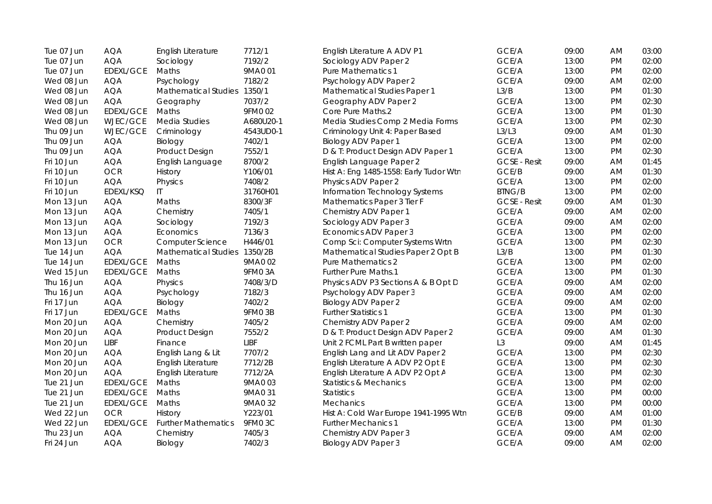| Tue 07 Jun | <b>AQA</b>       | English Literature           | 7712/1    | English Literature A ADV P1            | GCE/A               | 09:00 | AM        | 03:00 |
|------------|------------------|------------------------------|-----------|----------------------------------------|---------------------|-------|-----------|-------|
| Tue 07 Jun | <b>AQA</b>       | Sociology                    | 7192/2    | Sociology ADV Paper 2                  | GCE/A               | 13:00 | <b>PM</b> | 02:00 |
| Tue 07 Jun | <b>EDEXL/GCE</b> | Maths                        | 9MA0 01   | Pure Mathematics 1                     | GCE/A               | 13:00 | PM        | 02:00 |
| Wed 08 Jun | <b>AQA</b>       | Psychology                   | 7182/2    | Psychology ADV Paper 2                 | GCE/A               | 09:00 | AM        | 02:00 |
| Wed 08 Jun | <b>AQA</b>       | Mathematical Studies 1350/1  |           | Mathematical Studies Paper 1           | L3/B                | 13:00 | <b>PM</b> | 01:30 |
| Wed 08 Jun | <b>AQA</b>       | Geography                    | 7037/2    | Geography ADV Paper 2                  | GCE/A               | 13:00 | PM        | 02:30 |
| Wed 08 Jun | EDEXL/GCE        | Maths                        | 9FM0 02   | Core Pure Maths.2                      | GCE/A               | 13:00 | PM        | 01:30 |
| Wed 08 Jun | WJEC/GCE         | Media Studies                | A680U20-1 | Media Studies Comp 2 Media Forms       | GCE/A               | 13:00 | PM        | 02:30 |
| Thu 09 Jun | WJEC/GCE         | Criminology                  | 4543UD0-1 | Criminology Unit 4: Paper Based        | L3/L3               | 09:00 | AM        | 01:30 |
| Thu 09 Jun | <b>AQA</b>       | Biology                      | 7402/1    | <b>Biology ADV Paper 1</b>             | GCE/A               | 13:00 | <b>PM</b> | 02:00 |
| Thu 09 Jun | <b>AQA</b>       | Product Design               | 7552/1    | D & T: Product Design ADV Paper 1      | GCE/A               | 13:00 | <b>PM</b> | 02:30 |
| Fri 10 Jun | <b>AQA</b>       | English Language             | 8700/2    | English Language Paper 2               | <b>GCSE - Resit</b> | 09:00 | AM        | 01:45 |
| Fri 10 Jun | <b>OCR</b>       | History                      | Y106/01   | Hist A: Eng 1485-1558: Early Tudor Wtn | GCE/B               | 09:00 | AM        | 01:30 |
| Fri 10 Jun | <b>AQA</b>       | Physics                      | 7408/2    | Physics ADV Paper 2                    | GCE/A               | 13:00 | <b>PM</b> | 02:00 |
| Fri 10 Jun | EDEXL/KSQ        | IT                           | 31760H01  | Information Technology Systems         | <b>BTNG/B</b>       | 13:00 | PM        | 02:00 |
| Mon 13 Jun | <b>AQA</b>       | Maths                        | 8300/3F   | Mathematics Paper 3 Tier F             | <b>GCSE - Resit</b> | 09:00 | AM        | 01:30 |
| Mon 13 Jun | <b>AQA</b>       | Chemistry                    | 7405/1    | Chemistry ADV Paper 1                  | GCE/A               | 09:00 | AM        | 02:00 |
| Mon 13 Jun | <b>AQA</b>       | Sociology                    | 7192/3    | Sociology ADV Paper 3                  | GCE/A               | 09:00 | AM        | 02:00 |
| Mon 13 Jun | <b>AQA</b>       | Economics                    | 7136/3    | Economics ADV Paper 3                  | GCE/A               | 13:00 | PM        | 02:00 |
| Mon 13 Jun | OCR              | <b>Computer Science</b>      | H446/01   | Comp Sci: Computer Systems Wrtn        | GCE/A               | 13:00 | PM        | 02:30 |
| Tue 14 Jun | <b>AQA</b>       | Mathematical Studies 1350/2B |           | Mathematical Studies Paper 2 Opt B     | L3/B                | 13:00 | <b>PM</b> | 01:30 |
| Tue 14 Jun | EDEXL/GCE        | Maths                        | 9MA0 02   | <b>Pure Mathematics 2</b>              | GCE/A               | 13:00 | PM        | 02:00 |
| Wed 15 Jun | EDEXL/GCE        | Maths                        | 9FM03A    | Further Pure Maths.1                   | GCE/A               | 13:00 | PM        | 01:30 |
| Thu 16 Jun | <b>AQA</b>       | Physics                      | 7408/3/D  | Physics ADV P3 Sections A & B Opt D    | GCE/A               | 09:00 | AM        | 02:00 |
| Thu 16 Jun | <b>AQA</b>       | Psychology                   | 7182/3    | Psychology ADV Paper 3                 | GCE/A               | 09:00 | AM        | 02:00 |
| Fri 17 Jun | <b>AQA</b>       | Biology                      | 7402/2    | <b>Biology ADV Paper 2</b>             | GCE/A               | 09:00 | AM        | 02:00 |
| Fri 17 Jun | <b>EDEXL/GCE</b> | Maths                        | 9FM03B    | <b>Further Statistics 1</b>            | GCE/A               | 13:00 | <b>PM</b> | 01:30 |
| Mon 20 Jun | <b>AQA</b>       | Chemistry                    | 7405/2    | Chemistry ADV Paper 2                  | GCE/A               | 09:00 | AM        | 02:00 |
| Mon 20 Jun | <b>AQA</b>       | Product Design               | 7552/2    | D & T: Product Design ADV Paper 2      | GCE/A               | 09:00 | AM        | 01:30 |
| Mon 20 Jun | <b>LIBF</b>      | Finance                      | LIBF      | Unit 2 FCML Part B written paper       | L <sub>3</sub>      | 09:00 | AM        | 01:45 |
| Mon 20 Jun | <b>AQA</b>       | English Lang & Lit           | 7707/2    | English Lang and Lit ADV Paper 2       | GCE/A               | 13:00 | PM        | 02:30 |
| Mon 20 Jun | <b>AQA</b>       | English Literature           | 7712/2B   | English Literature A ADV P2 Opt E      | GCE/A               | 13:00 | PM        | 02:30 |
| Mon 20 Jun | <b>AQA</b>       | English Literature           | 7712/2A   | English Literature A ADV P2 Opt A      | GCE/A               | 13:00 | <b>PM</b> | 02:30 |
| Tue 21 Jun | EDEXL/GCE        | Maths                        | 9MA0 03   | <b>Statistics &amp; Mechanics</b>      | GCE/A               | 13:00 | <b>PM</b> | 02:00 |
| Tue 21 Jun | <b>EDEXL/GCE</b> | Maths                        | 9MA0 31   | <b>Statistics</b>                      | GCE/A               | 13:00 | <b>PM</b> | 00:00 |
| Tue 21 Jun | <b>EDEXL/GCE</b> | Maths                        | 9MA0 32   | Mechanics                              | GCE/A               | 13:00 | <b>PM</b> | 00:00 |
| Wed 22 Jun | <b>OCR</b>       | History                      | Y223/01   | Hist A: Cold War Europe 1941-1995 Wtn  | GCE/B               | 09:00 | AM        | 01:00 |
| Wed 22 Jun | EDEXL/GCE        | <b>Further Mathematics</b>   | 9FM0 3C   | <b>Further Mechanics 1</b>             | GCE/A               | 13:00 | <b>PM</b> | 01:30 |
| Thu 23 Jun | <b>AQA</b>       | Chemistry                    | 7405/3    | Chemistry ADV Paper 3                  | GCE/A               | 09:00 | AM        | 02:00 |
| Fri 24 Jun | <b>AQA</b>       | Biology                      | 7402/3    | <b>Biology ADV Paper 3</b>             | GCE/A               | 09:00 | AM        | 02:00 |